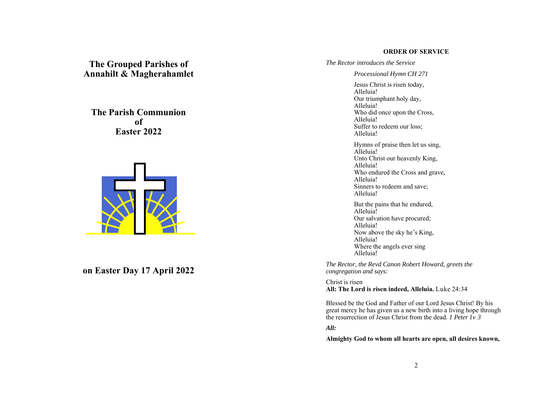### **ORDER OF SERVICE**

**The Grouped Parishes of Annahilt & Magherahamlet** 

**The Parish Communion of Easter 2022** 



**on Easter Day 17 April 2022** 

*The Rector introduces the Service* 

*Processional Hymn CH 271* 

Jesus Christ is risen today, Alleluia! Our triumphant holy day, Alleluia! Who did once upon the Cross, Alleluia! Suffer to redeem our loss; Alleluia! Hymns of praise then let us sing,

Alleluia! Unto Christ our heavenly King, Alleluia! Who endured the Cross and grave, Alleluia! Sinners to redeem and save; Alleluia!

But the pains that he endured, Alleluia! Our salvation have procured; Alleluia! Now above the sky he's King, Alleluia! Where the angels ever sing Alleluia!

*The Rector, the Revd Canon Robert Howard, greets the congregation and says:* 

Christ is risen **All: The Lord is risen indeed, Alleluia.** Luke 24:34

Blessed be the God and Father of our Lord Jesus Christ! By his great mercy he has given us a new birth into a living hope through the resurrection of Jesus Christ from the dead. *1 Peter 1v 3*

*All:* 

**Almighty God to whom all hearts are open, all desires known,**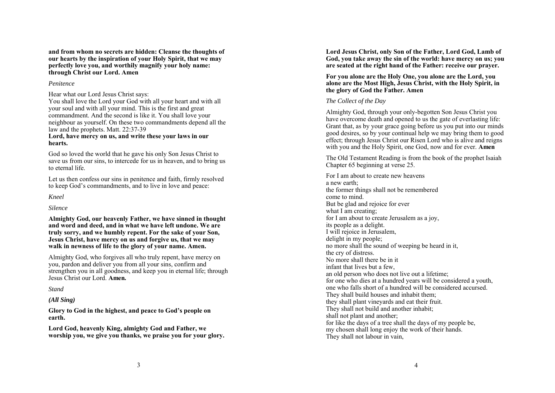**and from whom no secrets are hidden: Cleanse the thoughts of our hearts by the inspiration of your Holy Spirit, that we may perfectly love you, and worthily magnify your holy name: through Christ our Lord. Amen** 

### *Penitence*

Hear what our Lord Jesus Christ says:

You shall love the Lord your God with all your heart and with all your soul and with all your mind. This is the first and great commandment. And the second is like it. You shall love your neighbour as yourself. On these two commandments depend all the law and the prophets. Matt. 22:37-39

### **Lord, have mercy on us, and write these your laws in our hearts.**

God so loved the world that he gave his only Son Jesus Christ to save us from our sins, to intercede for us in heaven, and to bring us to eternal life.

Let us then confess our sins in penitence and faith, firmly resolved to keep God's commandments, and to live in love and peace:

*Kneel* 

### *Silence*

**Almighty God, our heavenly Father, we have sinned in thought and word and deed, and in what we have left undone. We are truly sorry, and we humbly repent. For the sake of your Son, Jesus Christ, have mercy on us and forgive us, that we may walk in newness of life to the glory of your name. Amen.** 

Almighty God, who forgives all who truly repent, have mercy on you, pardon and deliver you from all your sins, confirm and strengthen you in all goodness, and keep you in eternal life; through Jesus Christ our Lord. **Amen.** 

*Stand*

## *(All Sing)*

**Glory to God in the highest, and peace to God's people on earth.** 

**Lord God, heavenly King, almighty God and Father, we worship you, we give you thanks, we praise you for your glory.**  **Lord Jesus Christ, only Son of the Father, Lord God, Lamb of God, you take away the sin of the world: have mercy on us; you are seated at the right hand of the Father: receive our prayer.**

**For you alone are the Holy One, you alone are the Lord, you alone are the Most High, Jesus Christ, with the Holy Spirit, in the glory of God the Father. Amen**

# *The Collect of the Day*

Almighty God, through your only-begotten Son Jesus Christ you have overcome death and opened to us the gate of everlasting life: Grant that, as by your grace going before us you put into our minds good desires, so by your continual help we may bring them to good effect; through Jesus Christ our Risen Lord who is alive and reigns with you and the Holy Spirit, one God, now and for ever. **Amen**

The Old Testament Reading is from the book of the prophet Isaiah Chapter 65 beginning at verse 25.

For I am about to create new heavens a new earth; the former things shall not be remembered come to mind. But be glad and rejoice for ever what I am creating; for I am about to create Jerusalem as a joy, its people as a delight. I will rejoice in Jerusalem, delight in my people; no more shall the sound of weeping be heard in it, the cry of distress. No more shall there be in it infant that lives but a few, an old person who does not live out a lifetime; for one who dies at a hundred years will be considered a youth, one who falls short of a hundred will be considered accursed. They shall build houses and inhabit them; they shall plant vineyards and eat their fruit. They shall not build and another inhabit; shall not plant and another; for like the days of a tree shall the days of my people be, my chosen shall long enjoy the work of their hands. They shall not labour in vain,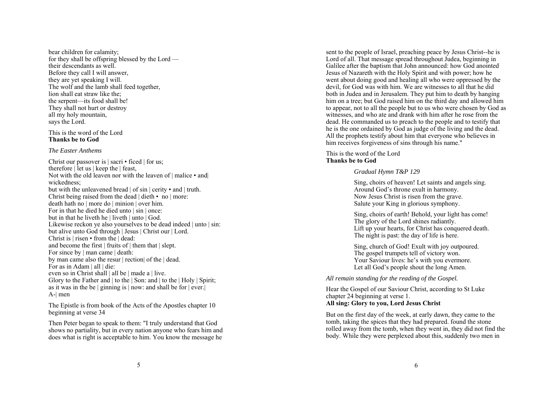bear children for calamity; for they shall be offspring blessed by the Lord their descendants as well. Before they call I will answer, they are yet speaking I will. The wolf and the lamb shall feed together, lion shall eat straw like the; the serpent—its food shall be! They shall not hurt or destroy all my holy mountain, says the Lord.

This is the word of the Lord **Thanks be to God** 

#### *The Easter Anthems*

Christ our passover is | sacri • ficed | for us; therefore | let us | keep the | feast, Not with the old leaven nor with the leaven of  $|$  malice  $\bullet$  and wickedness; but with the unleavened bread | of sin | cerity • and | truth. Christ being raised from the dead  $\vert$  dieth • no  $\vert$  more: death hath no | more do | minion | over him. For in that he died he died unto  $|\sin|$  once: but in that he liveth he | liveth | unto | God. Likewise reckon ye also yourselves to be dead indeed | unto | sin: but alive unto God through | Jesus | Christ our | Lord. Christ is | risen • from the | dead: and become the first | fruits of | them that | slept. For since by | man came | death: by man came also the resur | rection| of the | dead. For as in Adam | all | die: even so in Christ shall | all be | made a | live. Glory to the Father and | to the | Son: and | to the | Holy | Spirit; as it was in the be  $|$  ginning is  $|$  now: and shall be for  $|$  ever. A-| men

The Epistle is from book of the Acts of the Apostles chapter 10 beginning at verse 34

Then Peter began to speak to them: "I truly understand that God shows no partiality, but in every nation anyone who fears him and does what is right is acceptable to him. You know the message he

sent to the people of Israel, preaching peace by Jesus Christ--he is Lord of all. That message spread throughout Judea, beginning in Galilee after the baptism that John announced: how God anointed Jesus of Nazareth with the Holy Spirit and with power; how he went about doing good and healing all who were oppressed by the devil, for God was with him. We are witnesses to all that he did both in Judea and in Jerusalem. They put him to death by hanging him on a tree; but God raised him on the third day and allowed him to appear, not to all the people but to us who were chosen by God as witnesses, and who ate and drank with him after he rose from the dead. He commanded us to preach to the people and to testify that he is the one ordained by God as judge of the living and the dead. All the prophets testify about him that everyone who believes in him receives forgiveness of sins through his name."

This is the word of the Lord **Thanks be to God** 

# *Gradual Hymn T&P 129*

Sing, choirs of heaven! Let saints and angels sing. Around God's throne exult in harmony. Now Jesus Christ is risen from the grave. Salute your King in glorious symphony.

Sing, choirs of earth! Behold, your light has come! The glory of the Lord shines radiantly. Lift up your hearts, for Christ has conquered death. The night is past: the day of life is here.

Sing, church of God! Exult with joy outpoured. The gospel trumpets tell of victory won. Your Saviour lives: he's with you evermore. Let all God's people shout the long Amen.

*All remain standing for the reading of the Gospel.* 

Hear the Gospel of our Saviour Christ, according to St Luke chapter 24 beginning at verse 1. **All sing: Glory to you, Lord Jesus Christ** 

But on the first day of the week, at early dawn, they came to the tomb, taking the spices that they had prepared. found the stone rolled away from the tomb, when they went in, they did not find the body. While they were perplexed about this, suddenly two men in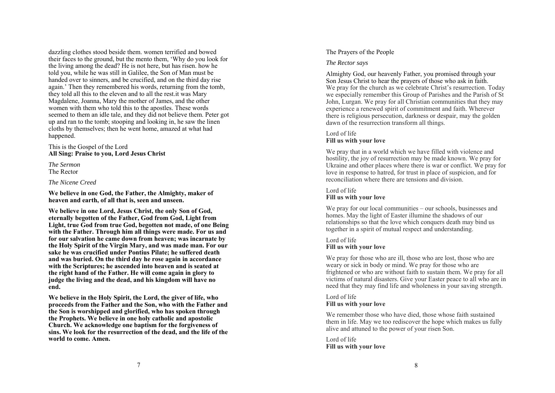dazzling clothes stood beside them. women terrified and bowed their faces to the ground, but the mento them, 'Why do you look for the living among the dead? He is not here, but has risen. how he told you, while he was still in Galilee, the Son of Man must be handed over to sinners, and be crucified, and on the third day rise again.' Then they remembered his words, returning from the tomb, they told all this to the eleven and to all the rest.it was Mary Magdalene, Joanna, Mary the mother of James, and the other women with them who told this to the apostles. These words seemed to them an idle tale, and they did not believe them. Peter got up and ran to the tomb; stooping and looking in, he saw the linen cloths by themselves; then he went home, amazed at what had happened.

This is the Gospel of the Lord **All Sing: Praise to you, Lord Jesus Christ** 

*The Sermon* The Rector

### *The Nicene Creed*

**We believe in one God, the Father, the Almighty, maker of heaven and earth, of all that is, seen and unseen.** 

**We believe in one Lord, Jesus Christ, the only Son of God, eternally begotten of the Father, God from God, Light from Light, true God from true God, begotten not made, of one Being with the Father. Through him all things were made. For us and for our salvation he came down from heaven; was incarnate by the Holy Spirit of the Virgin Mary, and was made man. For our sake he was crucified under Pontius Pilate; he suffered death and was buried. On the third day he rose again in accordance with the Scriptures; he ascended into heaven and is seated at the right hand of the Father. He will come again in glory to judge the living and the dead, and his kingdom will have no end.** 

**We believe in the Holy Spirit, the Lord, the giver of life, who proceeds from the Father and the Son, who with the Father and the Son is worshipped and glorified, who has spoken through the Prophets. We believe in one holy catholic and apostolic Church. We acknowledge one baptism for the forgiveness of sins. We look for the resurrection of the dead, and the life of the world to come. Amen.** 

## The Prayers of the People

### *The Rector says*

Almighty God, our heavenly Father, you promised through your Son Jesus Christ to hear the prayers of those who ask in faith. We pray for the church as we celebrate Christ's resurrection. Today we especially remember this Group of Parishes and the Parish of St John, Lurgan. We pray for all Christian communities that they may experience a renewed spirit of commitment and faith. Wherever there is religious persecution, darkness or despair, may the golden dawn of the resurrection transform all things.

# Lord of life **Fill us with your love**

We pray that in a world which we have filled with violence and hostility, the joy of resurrection may be made known. We pray for Ukraine and other places where there is war or conflict. We pray for love in response to hatred, for trust in place of suspicion, and for reconciliation where there are tensions and division.

# Lord of life **Fill us with your love**

We pray for our local communities – our schools, businesses and homes. May the light of Easter illumine the shadows of our relationships so that the love which conquers death may bind us together in a spirit of mutual respect and understanding.

# Lord of life **Fill us with your love**

We pray for those who are ill, those who are lost, those who are weary or sick in body or mind. We pray for those who are frightened or who are without faith to sustain them. We pray for all victims of natural disasters. Give your Easter peace to all who are in need that they may find life and wholeness in your saving strength.

### Lord of life **Fill us with your love**

We remember those who have died, those whose faith sustained them in life. May we too rediscover the hope which makes us fully alive and attuned to the power of your risen Son.

Lord of life **Fill us with your love**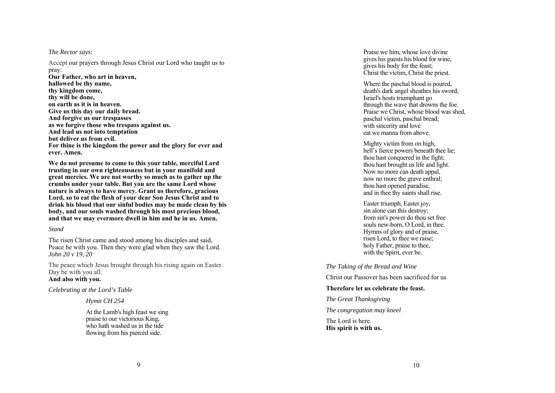### *The Rector says:*

Accept our prayers through Jesus Christ our Lord who taught us to pray: **Our Father, who art in heaven, hallowed be thy name, thy kingdom come, thy will be done, on earth as it is in heaven. Give us this day our daily bread. And forgive us our trespasses as we forgive those who trespass against us. And lead us not into temptation but deliver us from evil. For thine is the kingdom the power and the glory for ever and ever. Amen.** 

**We do not presume to come to this your table, merciful Lord trusting in our own righteousness but in your manifold and great mercies. We are not worthy so much as to gather up the crumbs under your table. But you are the same Lord whose nature is always to have mercy. Grant us therefore, gracious Lord, so to eat the flesh of your dear Son Jesus Christ and to drink his blood that our sinful bodies may be made clean by his body, and our souls washed through his most precious blood, and that we may evermore dwell in him and he in us. Amen.**

### *Stand*

The risen Christ came and stood among his disciples and said, Peace be with you. Then they were glad when they saw the Lord. *John 20 v 19, 20*

The peace which Jesus brought through his rising again on Easter Day be with you all. **And also with you.** 

# *Celebrating at the Lord's Table*

*Hymn CH 254* 

At the Lamb's high feast we sing praise to our victorious King, who hath washed us in the tide flowing from his piercèd side.

Praise we him, whose love divine gives his guests his blood for wine, gives his body for the feast; Christ the victim, Christ the priest.

Where the paschal blood is poured, death's dark angel sheathes his sword; Israel's hosts triumphant go through the wave that drowns the foe. Praise we Christ, whose blood was shed, paschal victim, paschal bread; with sincerity and love eat we manna from above.

Mighty victim from on high, hell's fierce powers beneath thee lie; thou hast conquered in the fight; thou hast brought us life and light. Now no more can death appal. now no more the grave enthral; thou hast opened paradise, and in thee thy saints shall rise.

Easter triumph, Easter joy, sin alone can this destroy; from sin's power do thou set free souls new-born, O Lord, in thee. Hymns of glory and of praise, risen Lord, to thee we raise; holy Father, praise to thee, with the Spirit, ever be.

*The Taking of the Bread and Wine* 

Christ our Passover has been sacrificed for us

## **Therefore let us celebrate the feast.**

*The Great Thanksgiving* 

*The congregation may kneel* 

The Lord is here. **His spirit is with us.**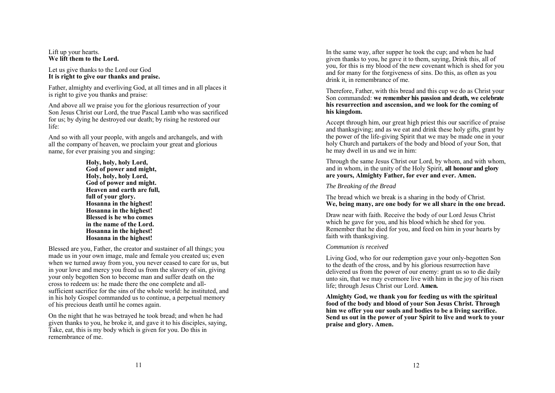### Lift up your hearts. **We lift them to the Lord.**

### Let us give thanks to the Lord our God **It is right to give our thanks and praise.**

Father, almighty and everliving God, at all times and in all places it is right to give you thanks and praise:

And above all we praise you for the glorious resurrection of your Son Jesus Christ our Lord, the true Pascal Lamb who was sacrificed for us; by dying he destroyed our death; by rising he restored our life:

And so with all your people, with angels and archangels, and with all the company of heaven, we proclaim your great and glorious name, for ever praising you and singing:

> **Holy, holy, holy Lord, God of power and might, Holy, holy, holy Lord, God of power and might. Heaven and earth are full, full of your glory. Hosanna in the highest! Hosanna in the highest! Blessed is he who comes in the name of the Lord. Hosanna in the highest! Hosanna in the highest!**

Blessed are you, Father, the creator and sustainer of all things; you made us in your own image, male and female you created us; even when we turned away from you, you never ceased to care for us, but in your love and mercy you freed us from the slavery of sin, giving your only begotten Son to become man and suffer death on the cross to redeem us: he made there the one complete and allsufficient sacrifice for the sins of the whole world: he instituted, and in his holy Gospel commanded us to continue, a perpetual memory of his precious death until he comes again.

On the night that he was betrayed he took bread; and when he had given thanks to you, he broke it, and gave it to his disciples, saying, Take, eat, this is my body which is given for you. Do this in remembrance of me.

In the same way, after supper he took the cup; and when he had given thanks to you, he gave it to them, saying, Drink this, all of you, for this is my blood of the new covenant which is shed for you and for many for the forgiveness of sins. Do this, as often as you drink it, in remembrance of me.

Therefore, Father, with this bread and this cup we do as Christ your Son commanded: **we remember his passion and death, we celebrate his resurrection and ascension, and we look for the coming of his kingdom.** 

Accept through him, our great high priest this our sacrifice of praise and thanksgiving; and as we eat and drink these holy gifts, grant by the power of the life-giving Spirit that we may be made one in your holy Church and partakers of the body and blood of your Son, that he may dwell in us and we in him:

Through the same Jesus Christ our Lord, by whom, and with whom, and in whom, in the unity of the Holy Spirit, **all honour and glory are yours, Almighty Father, for ever and ever. Amen.** 

# *The Breaking of the Bread*

The bread which we break is a sharing in the body of Christ. **We, being many, are one body for we all share in the one bread.**

Draw near with faith. Receive the body of our Lord Jesus Christ which he gave for you, and his blood which he shed for you. Remember that he died for you, and feed on him in your hearts by faith with thanksgiving.

## *Communion is received*

Living God, who for our redemption gave your only-begotten Son to the death of the cross, and by his glorious resurrection have delivered us from the power of our enemy: grant us so to die daily unto sin, that we may evermore live with him in the joy of his risen life; through Jesus Christ our Lord. **Amen.** 

**Almighty God, we thank you for feeding us with the spiritual food of the body and blood of your Son Jesus Christ. Through him we offer you our souls and bodies to be a living sacrifice. Send us out in the power of your Spirit to live and work to your praise and glory. Amen.**